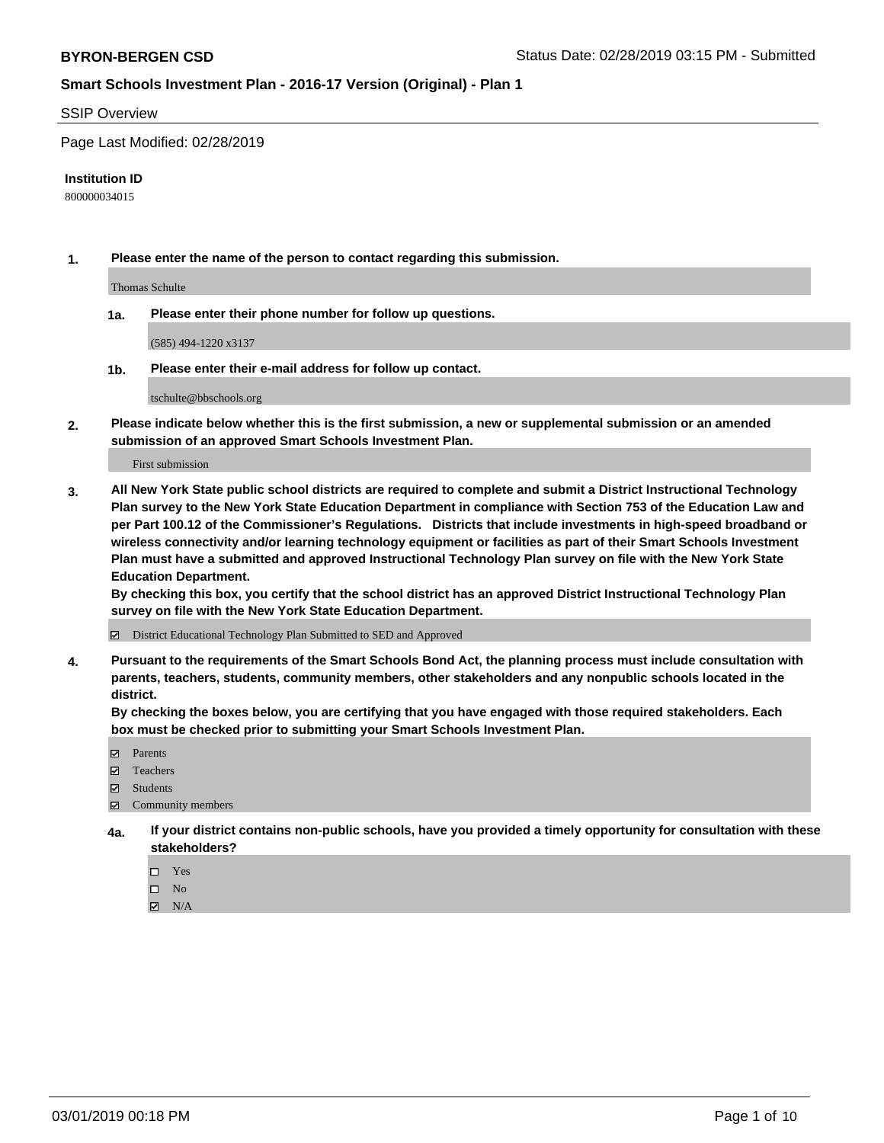#### SSIP Overview

Page Last Modified: 02/28/2019

#### **Institution ID**

800000034015

**1. Please enter the name of the person to contact regarding this submission.**

Thomas Schulte

**1a. Please enter their phone number for follow up questions.**

(585) 494-1220 x3137

**1b. Please enter their e-mail address for follow up contact.**

tschulte@bbschools.org

**2. Please indicate below whether this is the first submission, a new or supplemental submission or an amended submission of an approved Smart Schools Investment Plan.**

First submission

**3. All New York State public school districts are required to complete and submit a District Instructional Technology Plan survey to the New York State Education Department in compliance with Section 753 of the Education Law and per Part 100.12 of the Commissioner's Regulations. Districts that include investments in high-speed broadband or wireless connectivity and/or learning technology equipment or facilities as part of their Smart Schools Investment Plan must have a submitted and approved Instructional Technology Plan survey on file with the New York State Education Department.** 

**By checking this box, you certify that the school district has an approved District Instructional Technology Plan survey on file with the New York State Education Department.**

District Educational Technology Plan Submitted to SED and Approved

**4. Pursuant to the requirements of the Smart Schools Bond Act, the planning process must include consultation with parents, teachers, students, community members, other stakeholders and any nonpublic schools located in the district.** 

**By checking the boxes below, you are certifying that you have engaged with those required stakeholders. Each box must be checked prior to submitting your Smart Schools Investment Plan.**

- **□** Parents
- Teachers
- Students
- $\boxtimes$  Community members
- **4a. If your district contains non-public schools, have you provided a timely opportunity for consultation with these stakeholders?**
	- $\Box$  Yes
	- $\qquad \qquad$  No
	- $\blacksquare$  N/A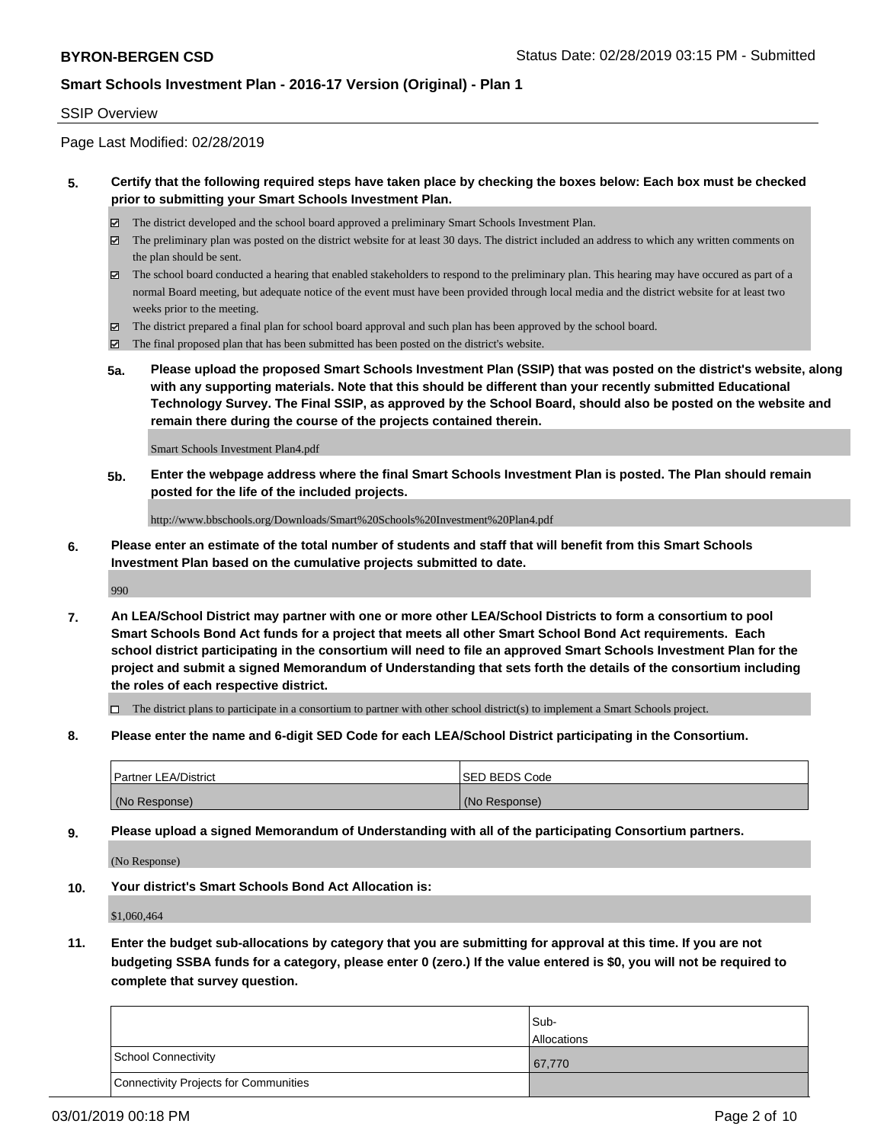#### SSIP Overview

Page Last Modified: 02/28/2019

#### **5. Certify that the following required steps have taken place by checking the boxes below: Each box must be checked prior to submitting your Smart Schools Investment Plan.**

- The district developed and the school board approved a preliminary Smart Schools Investment Plan.
- $\boxtimes$  The preliminary plan was posted on the district website for at least 30 days. The district included an address to which any written comments on the plan should be sent.
- $\boxtimes$  The school board conducted a hearing that enabled stakeholders to respond to the preliminary plan. This hearing may have occured as part of a normal Board meeting, but adequate notice of the event must have been provided through local media and the district website for at least two weeks prior to the meeting.
- The district prepared a final plan for school board approval and such plan has been approved by the school board.
- $\boxtimes$  The final proposed plan that has been submitted has been posted on the district's website.
- **5a. Please upload the proposed Smart Schools Investment Plan (SSIP) that was posted on the district's website, along with any supporting materials. Note that this should be different than your recently submitted Educational Technology Survey. The Final SSIP, as approved by the School Board, should also be posted on the website and remain there during the course of the projects contained therein.**

Smart Schools Investment Plan4.pdf

**5b. Enter the webpage address where the final Smart Schools Investment Plan is posted. The Plan should remain posted for the life of the included projects.**

http://www.bbschools.org/Downloads/Smart%20Schools%20Investment%20Plan4.pdf

**6. Please enter an estimate of the total number of students and staff that will benefit from this Smart Schools Investment Plan based on the cumulative projects submitted to date.**

990

**7. An LEA/School District may partner with one or more other LEA/School Districts to form a consortium to pool Smart Schools Bond Act funds for a project that meets all other Smart School Bond Act requirements. Each school district participating in the consortium will need to file an approved Smart Schools Investment Plan for the project and submit a signed Memorandum of Understanding that sets forth the details of the consortium including the roles of each respective district.**

 $\Box$  The district plans to participate in a consortium to partner with other school district(s) to implement a Smart Schools project.

**8. Please enter the name and 6-digit SED Code for each LEA/School District participating in the Consortium.**

| <b>Partner LEA/District</b> | <b>ISED BEDS Code</b> |
|-----------------------------|-----------------------|
| (No Response)               | (No Response)         |

**9. Please upload a signed Memorandum of Understanding with all of the participating Consortium partners.**

(No Response)

**10. Your district's Smart Schools Bond Act Allocation is:**

\$1,060,464

**11. Enter the budget sub-allocations by category that you are submitting for approval at this time. If you are not budgeting SSBA funds for a category, please enter 0 (zero.) If the value entered is \$0, you will not be required to complete that survey question.**

|                                              | Sub-<br><b>Allocations</b> |
|----------------------------------------------|----------------------------|
| <b>School Connectivity</b>                   | 67,770                     |
| <b>Connectivity Projects for Communities</b> |                            |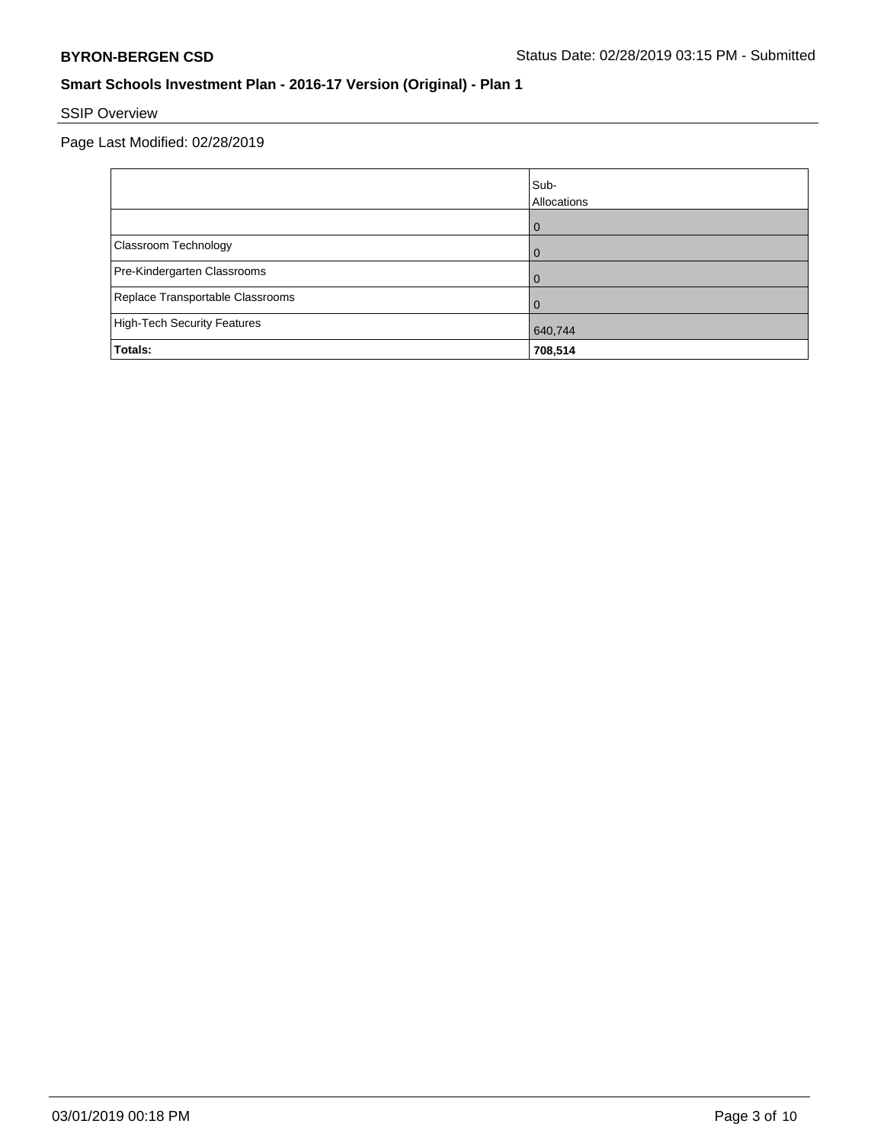# SSIP Overview

Page Last Modified: 02/28/2019

|                                  | Sub-<br>Allocations |
|----------------------------------|---------------------|
|                                  | $\overline{0}$      |
| Classroom Technology             | 0                   |
| Pre-Kindergarten Classrooms      | $\overline{0}$      |
| Replace Transportable Classrooms | 0                   |
| High-Tech Security Features      | 640,744             |
| Totals:                          | 708,514             |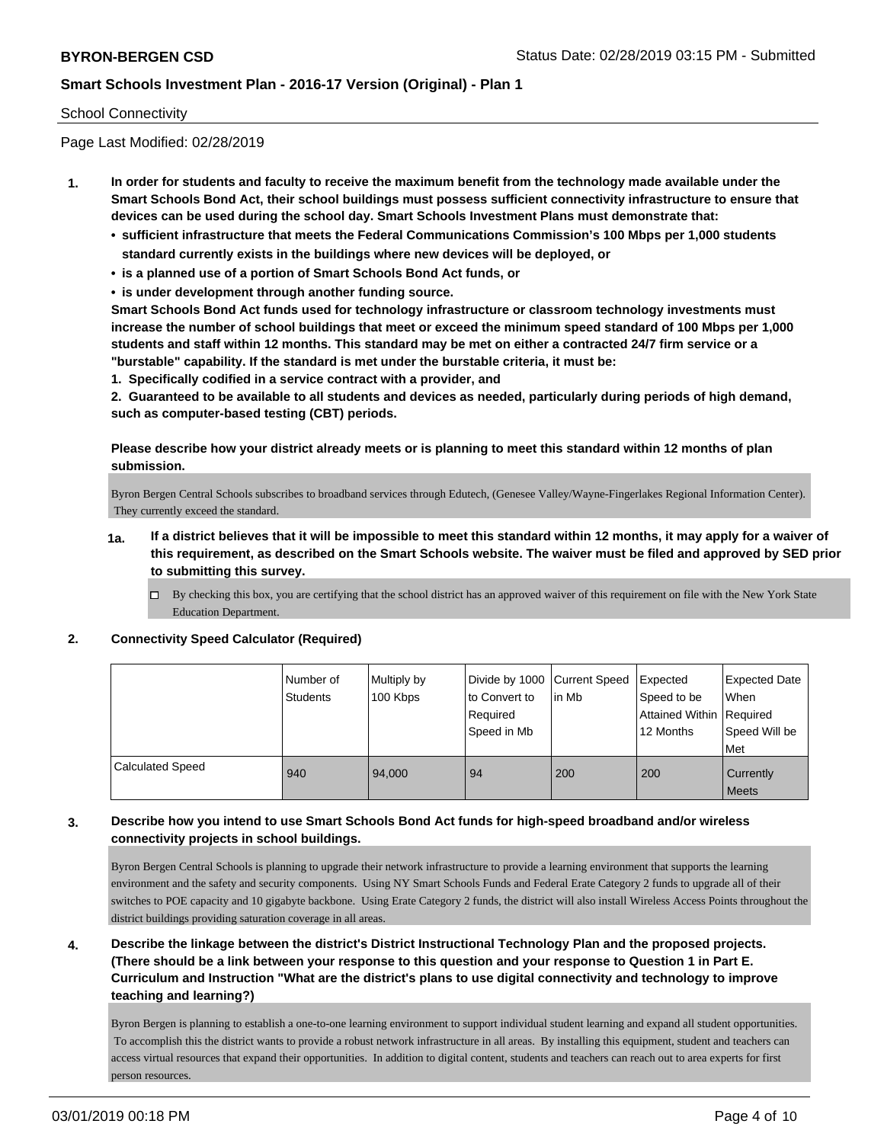#### School Connectivity

Page Last Modified: 02/28/2019

- **1. In order for students and faculty to receive the maximum benefit from the technology made available under the Smart Schools Bond Act, their school buildings must possess sufficient connectivity infrastructure to ensure that devices can be used during the school day. Smart Schools Investment Plans must demonstrate that:**
	- **• sufficient infrastructure that meets the Federal Communications Commission's 100 Mbps per 1,000 students standard currently exists in the buildings where new devices will be deployed, or**
	- **• is a planned use of a portion of Smart Schools Bond Act funds, or**
	- **• is under development through another funding source.**

**Smart Schools Bond Act funds used for technology infrastructure or classroom technology investments must increase the number of school buildings that meet or exceed the minimum speed standard of 100 Mbps per 1,000 students and staff within 12 months. This standard may be met on either a contracted 24/7 firm service or a "burstable" capability. If the standard is met under the burstable criteria, it must be:**

**1. Specifically codified in a service contract with a provider, and**

**2. Guaranteed to be available to all students and devices as needed, particularly during periods of high demand, such as computer-based testing (CBT) periods.**

**Please describe how your district already meets or is planning to meet this standard within 12 months of plan submission.**

Byron Bergen Central Schools subscribes to broadband services through Edutech, (Genesee Valley/Wayne-Fingerlakes Regional Information Center). They currently exceed the standard.

- **1a. If a district believes that it will be impossible to meet this standard within 12 months, it may apply for a waiver of this requirement, as described on the Smart Schools website. The waiver must be filed and approved by SED prior to submitting this survey.**
	- By checking this box, you are certifying that the school district has an approved waiver of this requirement on file with the New York State Education Department.

### **2. Connectivity Speed Calculator (Required)**

|                         | Number of<br><b>Students</b> | Multiply by<br>100 Kbps | Divide by 1000   Current Speed<br>to Convert to<br>Required<br>Speed in Mb | l in Mb | Expected<br>Speed to be<br>Attained Within   Required<br>12 Months | <b>Expected Date</b><br>When<br>Speed Will be<br><b>Met</b> |
|-------------------------|------------------------------|-------------------------|----------------------------------------------------------------------------|---------|--------------------------------------------------------------------|-------------------------------------------------------------|
| <b>Calculated Speed</b> | 940                          | 94,000                  | 94                                                                         | 200     | 200                                                                | Currently<br><b>Meets</b>                                   |

### **3. Describe how you intend to use Smart Schools Bond Act funds for high-speed broadband and/or wireless connectivity projects in school buildings.**

Byron Bergen Central Schools is planning to upgrade their network infrastructure to provide a learning environment that supports the learning environment and the safety and security components. Using NY Smart Schools Funds and Federal Erate Category 2 funds to upgrade all of their switches to POE capacity and 10 gigabyte backbone. Using Erate Category 2 funds, the district will also install Wireless Access Points throughout the district buildings providing saturation coverage in all areas.

**4. Describe the linkage between the district's District Instructional Technology Plan and the proposed projects. (There should be a link between your response to this question and your response to Question 1 in Part E. Curriculum and Instruction "What are the district's plans to use digital connectivity and technology to improve teaching and learning?)**

Byron Bergen is planning to establish a one-to-one learning environment to support individual student learning and expand all student opportunities. To accomplish this the district wants to provide a robust network infrastructure in all areas. By installing this equipment, student and teachers can access virtual resources that expand their opportunities. In addition to digital content, students and teachers can reach out to area experts for first person resources.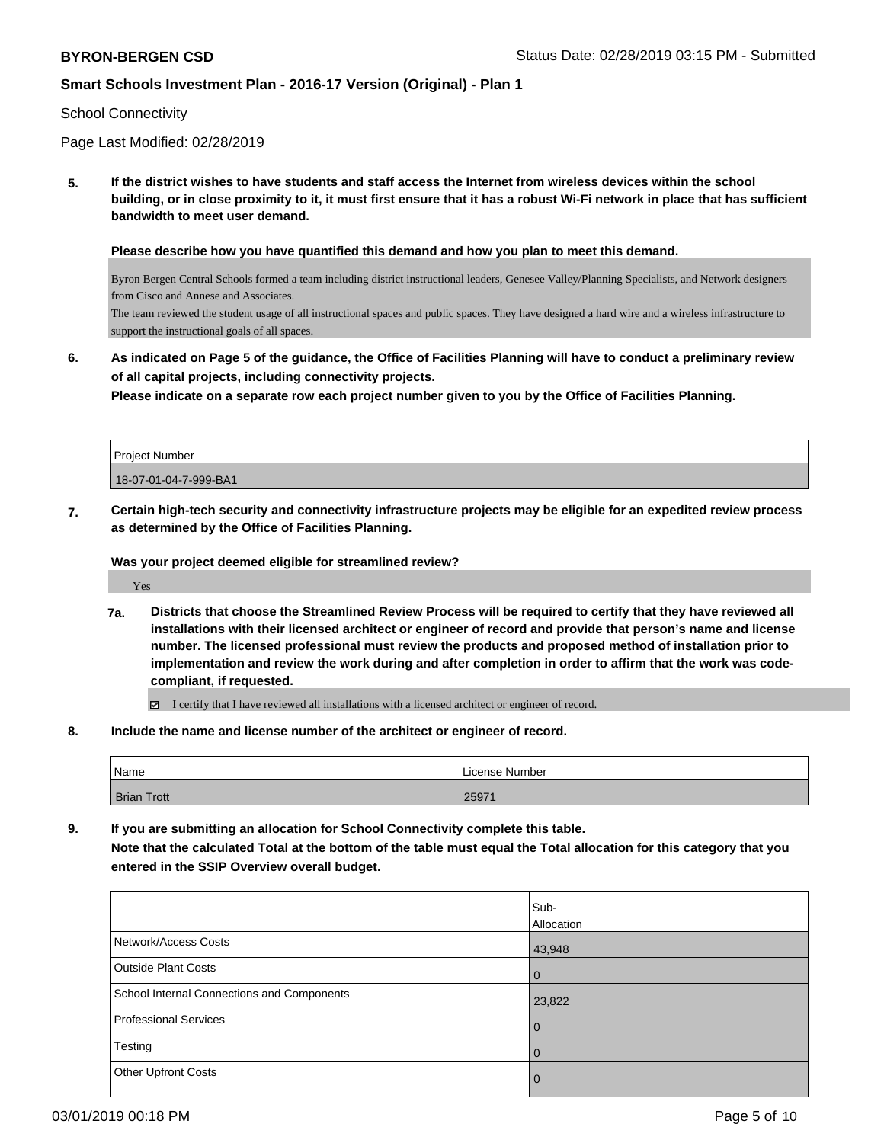#### School Connectivity

Page Last Modified: 02/28/2019

**5. If the district wishes to have students and staff access the Internet from wireless devices within the school building, or in close proximity to it, it must first ensure that it has a robust Wi-Fi network in place that has sufficient bandwidth to meet user demand.**

**Please describe how you have quantified this demand and how you plan to meet this demand.**

Byron Bergen Central Schools formed a team including district instructional leaders, Genesee Valley/Planning Specialists, and Network designers from Cisco and Annese and Associates.

The team reviewed the student usage of all instructional spaces and public spaces. They have designed a hard wire and a wireless infrastructure to support the instructional goals of all spaces.

**6. As indicated on Page 5 of the guidance, the Office of Facilities Planning will have to conduct a preliminary review of all capital projects, including connectivity projects.**

**Please indicate on a separate row each project number given to you by the Office of Facilities Planning.**

| <b>Project Number</b> |  |
|-----------------------|--|
| 18-07-01-04-7-999-BA1 |  |
|                       |  |

**7. Certain high-tech security and connectivity infrastructure projects may be eligible for an expedited review process as determined by the Office of Facilities Planning.**

**Was your project deemed eligible for streamlined review?**

Yes

**7a. Districts that choose the Streamlined Review Process will be required to certify that they have reviewed all installations with their licensed architect or engineer of record and provide that person's name and license number. The licensed professional must review the products and proposed method of installation prior to implementation and review the work during and after completion in order to affirm that the work was codecompliant, if requested.**

I certify that I have reviewed all installations with a licensed architect or engineer of record.

**8. Include the name and license number of the architect or engineer of record.**

| <b>Name</b>        | License Number |  |
|--------------------|----------------|--|
| <b>Brian Trott</b> | 25971          |  |

**9. If you are submitting an allocation for School Connectivity complete this table. Note that the calculated Total at the bottom of the table must equal the Total allocation for this category that you entered in the SSIP Overview overall budget.** 

|                                            | Sub-<br>Allocation |
|--------------------------------------------|--------------------|
| Network/Access Costs                       | 43,948             |
| <b>Outside Plant Costs</b>                 | l 0                |
| School Internal Connections and Components | 23,822             |
| Professional Services                      | $\overline{0}$     |
| Testing                                    | $\overline{0}$     |
| Other Upfront Costs                        | $\overline{0}$     |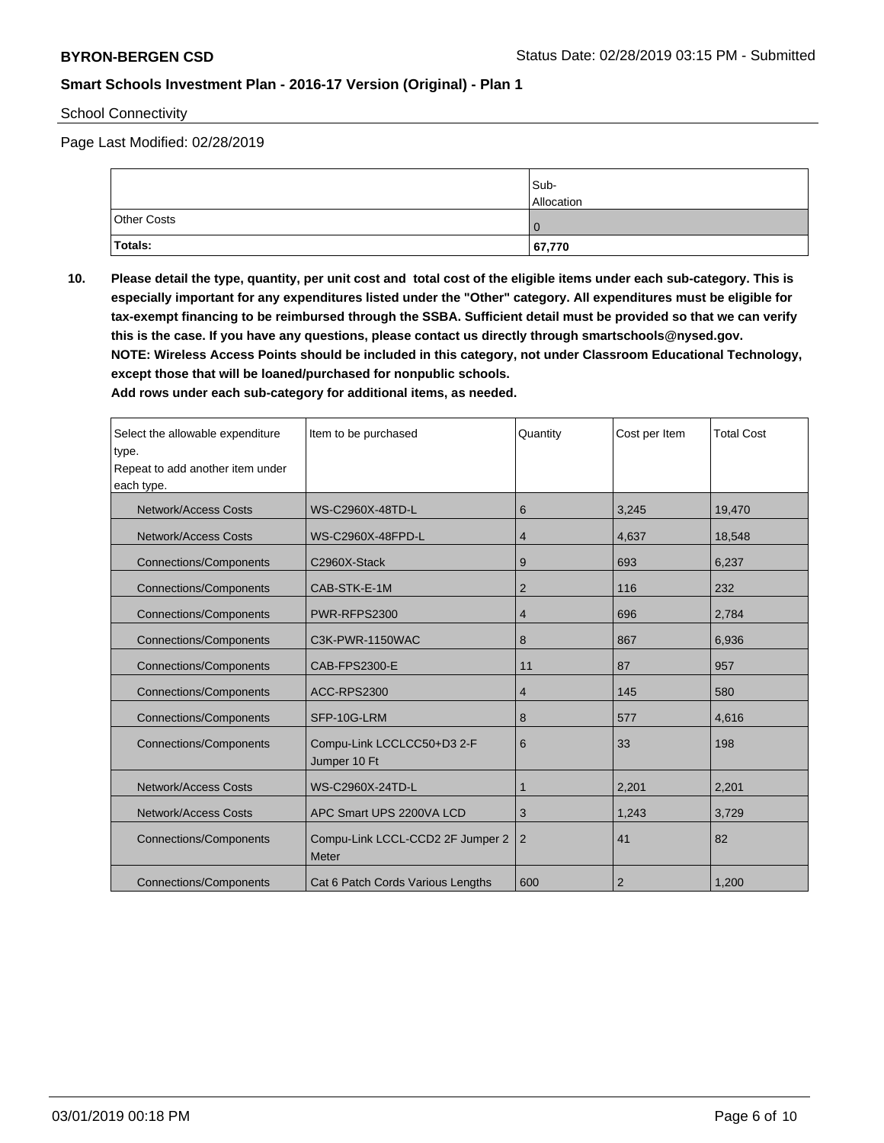School Connectivity

Page Last Modified: 02/28/2019

|             | Sub-<br><b>Allocation</b> |
|-------------|---------------------------|
| Other Costs |                           |
| Totals:     | 67,770                    |

**10. Please detail the type, quantity, per unit cost and total cost of the eligible items under each sub-category. This is especially important for any expenditures listed under the "Other" category. All expenditures must be eligible for tax-exempt financing to be reimbursed through the SSBA. Sufficient detail must be provided so that we can verify this is the case. If you have any questions, please contact us directly through smartschools@nysed.gov. NOTE: Wireless Access Points should be included in this category, not under Classroom Educational Technology, except those that will be loaned/purchased for nonpublic schools.**

**Add rows under each sub-category for additional items, as needed.**

| Select the allowable expenditure<br>type.<br>Repeat to add another item under<br>each type. | Item to be purchased                       | Quantity       | Cost per Item  | <b>Total Cost</b> |
|---------------------------------------------------------------------------------------------|--------------------------------------------|----------------|----------------|-------------------|
| Network/Access Costs                                                                        | WS-C2960X-48TD-L                           | 6              | 3.245          | 19.470            |
| Network/Access Costs                                                                        | WS-C2960X-48FPD-L                          | 4              | 4,637          | 18,548            |
| <b>Connections/Components</b>                                                               | C2960X-Stack                               | 9              | 693            | 6,237             |
| <b>Connections/Components</b>                                                               | CAB-STK-E-1M                               | $\overline{2}$ | 116            | 232               |
| <b>Connections/Components</b>                                                               | PWR-RFPS2300                               | 4              | 696            | 2,784             |
| <b>Connections/Components</b>                                                               | C3K-PWR-1150WAC                            | 8              | 867            | 6,936             |
| <b>Connections/Components</b>                                                               | CAB-FPS2300-E                              | 11             | 87             | 957               |
| <b>Connections/Components</b>                                                               | <b>ACC-RPS2300</b>                         | $\overline{4}$ | 145            | 580               |
| <b>Connections/Components</b>                                                               | SFP-10G-LRM                                | 8              | 577            | 4,616             |
| <b>Connections/Components</b>                                                               | Compu-Link LCCLCC50+D3 2-F<br>Jumper 10 Ft | 6              | 33             | 198               |
| <b>Network/Access Costs</b>                                                                 | WS-C2960X-24TD-L                           | $\mathbf{1}$   | 2,201          | 2,201             |
| Network/Access Costs                                                                        | APC Smart UPS 2200VA LCD                   | 3              | 1,243          | 3,729             |
| <b>Connections/Components</b>                                                               | Compu-Link LCCL-CCD2 2F Jumper 2<br>Meter  | 2              | 41             | 82                |
| <b>Connections/Components</b>                                                               | Cat 6 Patch Cords Various Lengths          | 600            | $\overline{2}$ | 1,200             |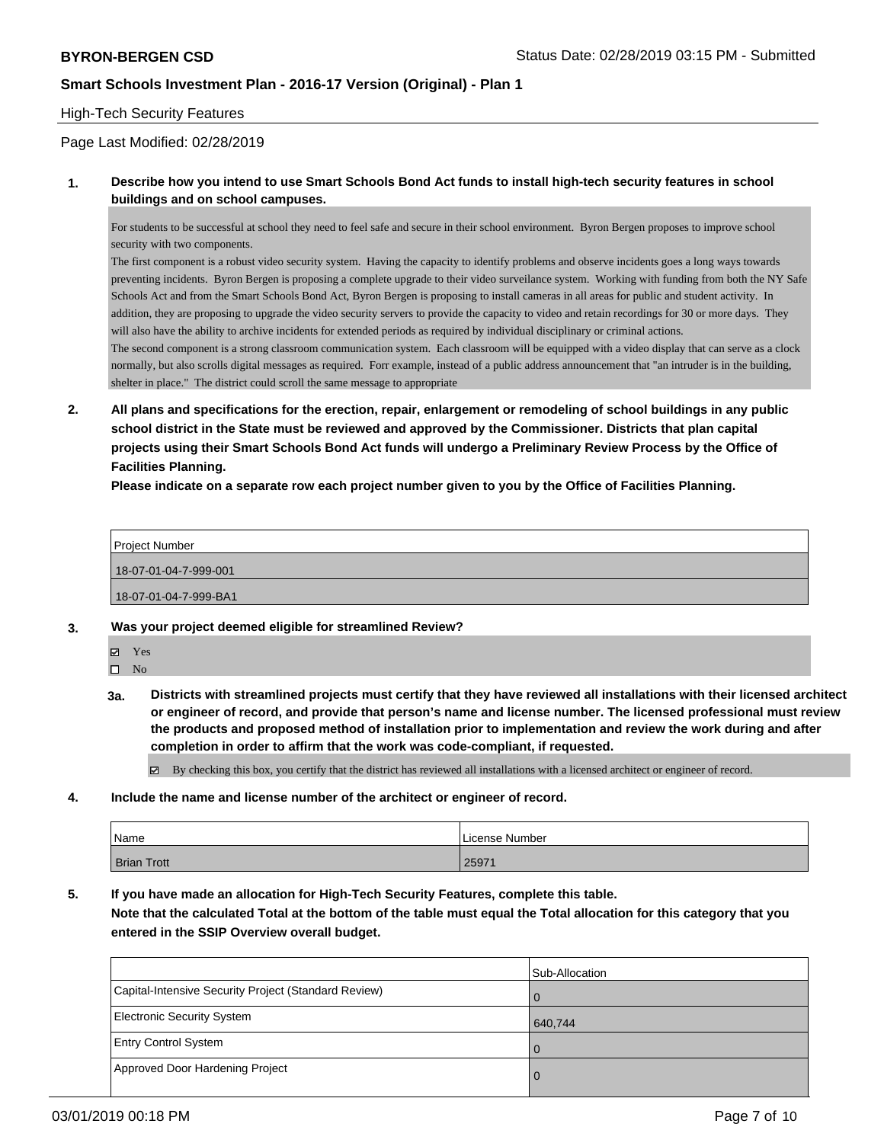#### High-Tech Security Features

#### Page Last Modified: 02/28/2019

#### **1. Describe how you intend to use Smart Schools Bond Act funds to install high-tech security features in school buildings and on school campuses.**

For students to be successful at school they need to feel safe and secure in their school environment. Byron Bergen proposes to improve school security with two components.

The first component is a robust video security system. Having the capacity to identify problems and observe incidents goes a long ways towards preventing incidents. Byron Bergen is proposing a complete upgrade to their video surveilance system. Working with funding from both the NY Safe Schools Act and from the Smart Schools Bond Act, Byron Bergen is proposing to install cameras in all areas for public and student activity. In addition, they are proposing to upgrade the video security servers to provide the capacity to video and retain recordings for 30 or more days. They will also have the ability to archive incidents for extended periods as required by individual disciplinary or criminal actions. The second component is a strong classroom communication system. Each classroom will be equipped with a video display that can serve as a clock normally, but also scrolls digital messages as required. Forr example, instead of a public address announcement that "an intruder is in the building, shelter in place." The district could scroll the same message to appropriate

**2. All plans and specifications for the erection, repair, enlargement or remodeling of school buildings in any public school district in the State must be reviewed and approved by the Commissioner. Districts that plan capital projects using their Smart Schools Bond Act funds will undergo a Preliminary Review Process by the Office of Facilities Planning.** 

**Please indicate on a separate row each project number given to you by the Office of Facilities Planning.**

| Project Number        |
|-----------------------|
| 18-07-01-04-7-999-001 |
| 18-07-01-04-7-999-BA1 |

- **3. Was your project deemed eligible for streamlined Review?**
	- Yes  $\square$  No
	- **3a. Districts with streamlined projects must certify that they have reviewed all installations with their licensed architect or engineer of record, and provide that person's name and license number. The licensed professional must review the products and proposed method of installation prior to implementation and review the work during and after completion in order to affirm that the work was code-compliant, if requested.**

By checking this box, you certify that the district has reviewed all installations with a licensed architect or engineer of record.

**4. Include the name and license number of the architect or engineer of record.**

| 'Name              | License Number |
|--------------------|----------------|
| <b>Brian Trott</b> | 2597           |

**5. If you have made an allocation for High-Tech Security Features, complete this table.**

**Note that the calculated Total at the bottom of the table must equal the Total allocation for this category that you entered in the SSIP Overview overall budget.**

|                                                      | Sub-Allocation |
|------------------------------------------------------|----------------|
| Capital-Intensive Security Project (Standard Review) | $\Omega$       |
| <b>Electronic Security System</b>                    | 640,744        |
| <b>Entry Control System</b>                          | $\Omega$       |
| Approved Door Hardening Project                      | , 0            |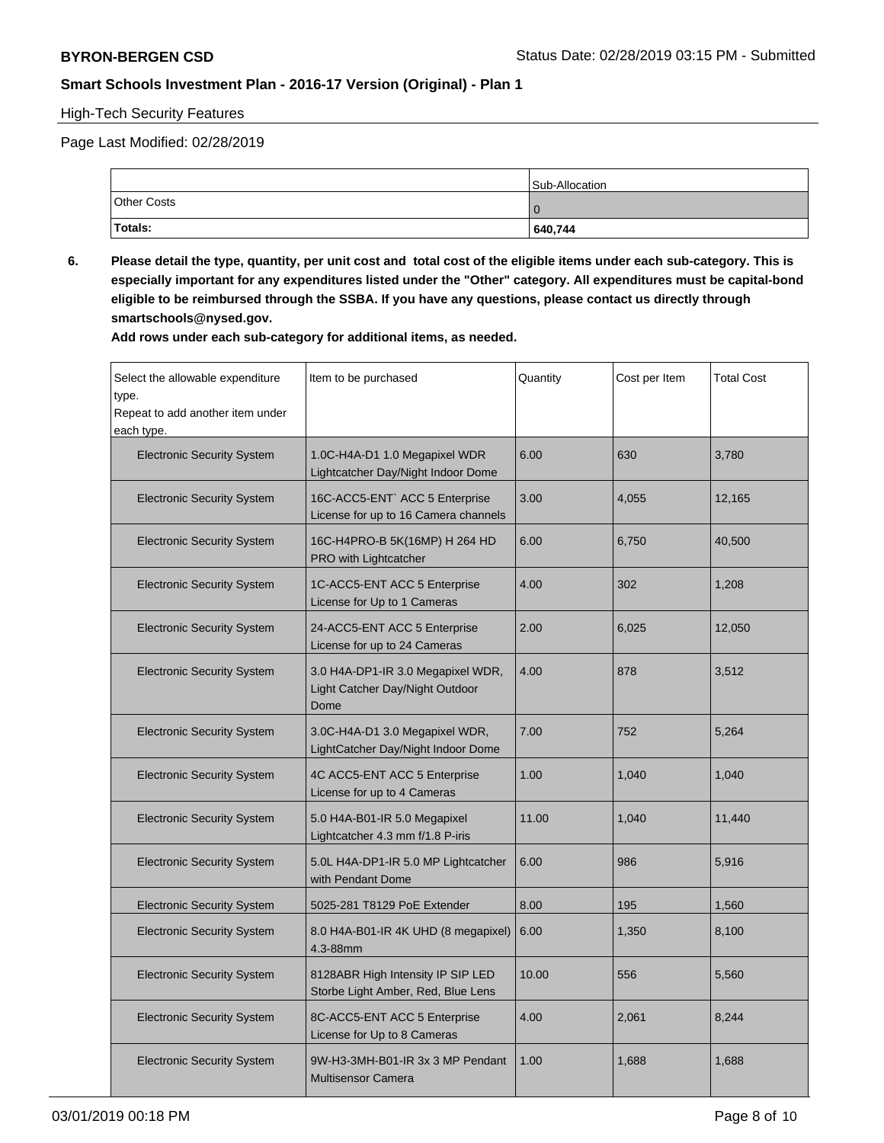#### High-Tech Security Features

Page Last Modified: 02/28/2019

|                    | Sub-Allocation |
|--------------------|----------------|
| <b>Other Costs</b> |                |
| Totals:            | 640,744        |

**6. Please detail the type, quantity, per unit cost and total cost of the eligible items under each sub-category. This is especially important for any expenditures listed under the "Other" category. All expenditures must be capital-bond eligible to be reimbursed through the SSBA. If you have any questions, please contact us directly through smartschools@nysed.gov.**

**Add rows under each sub-category for additional items, as needed.**

| Select the allowable expenditure<br>type.<br>Repeat to add another item under<br>each type. | Item to be purchased                                                         | Quantity | Cost per Item | <b>Total Cost</b> |
|---------------------------------------------------------------------------------------------|------------------------------------------------------------------------------|----------|---------------|-------------------|
| <b>Electronic Security System</b>                                                           | 1.0C-H4A-D1 1.0 Megapixel WDR<br>Lightcatcher Day/Night Indoor Dome          | 6.00     | 630           | 3,780             |
| <b>Electronic Security System</b>                                                           | 16C-ACC5-ENT` ACC 5 Enterprise<br>License for up to 16 Camera channels       | 3.00     | 4,055         | 12,165            |
| <b>Electronic Security System</b>                                                           | 16C-H4PRO-B 5K(16MP) H 264 HD<br><b>PRO with Lightcatcher</b>                | 6.00     | 6,750         | 40,500            |
| <b>Electronic Security System</b>                                                           | 1C-ACC5-ENT ACC 5 Enterprise<br>License for Up to 1 Cameras                  | 4.00     | 302           | 1,208             |
| <b>Electronic Security System</b>                                                           | 24-ACC5-ENT ACC 5 Enterprise<br>License for up to 24 Cameras                 | 2.00     | 6,025         | 12,050            |
| <b>Electronic Security System</b>                                                           | 3.0 H4A-DP1-IR 3.0 Megapixel WDR,<br>Light Catcher Day/Night Outdoor<br>Dome | 4.00     | 878           | 3,512             |
| <b>Electronic Security System</b>                                                           | 3.0C-H4A-D1 3.0 Megapixel WDR,<br>LightCatcher Day/Night Indoor Dome         | 7.00     | 752           | 5,264             |
| <b>Electronic Security System</b>                                                           | 4C ACC5-ENT ACC 5 Enterprise<br>License for up to 4 Cameras                  | 1.00     | 1,040         | 1,040             |
| <b>Electronic Security System</b>                                                           | 5.0 H4A-B01-IR 5.0 Megapixel<br>Lightcatcher 4.3 mm f/1.8 P-iris             | 11.00    | 1,040         | 11,440            |
| <b>Electronic Security System</b>                                                           | 5.0L H4A-DP1-IR 5.0 MP Lightcatcher<br>with Pendant Dome                     | 6.00     | 986           | 5,916             |
| <b>Electronic Security System</b>                                                           | 5025-281 T8129 PoE Extender                                                  | 8.00     | 195           | 1,560             |
| <b>Electronic Security System</b>                                                           | 8.0 H4A-B01-IR 4K UHD (8 megapixel)<br>4.3-88mm                              | 6.00     | 1,350         | 8,100             |
| <b>Electronic Security System</b>                                                           | 8128ABR High Intensity IP SIP LED<br>Storbe Light Amber, Red, Blue Lens      | 10.00    | 556           | 5,560             |
| <b>Electronic Security System</b>                                                           | 8C-ACC5-ENT ACC 5 Enterprise<br>License for Up to 8 Cameras                  | 4.00     | 2,061         | 8,244             |
| <b>Electronic Security System</b>                                                           | 9W-H3-3MH-B01-IR 3x 3 MP Pendant<br><b>Multisensor Camera</b>                | 1.00     | 1,688         | 1,688             |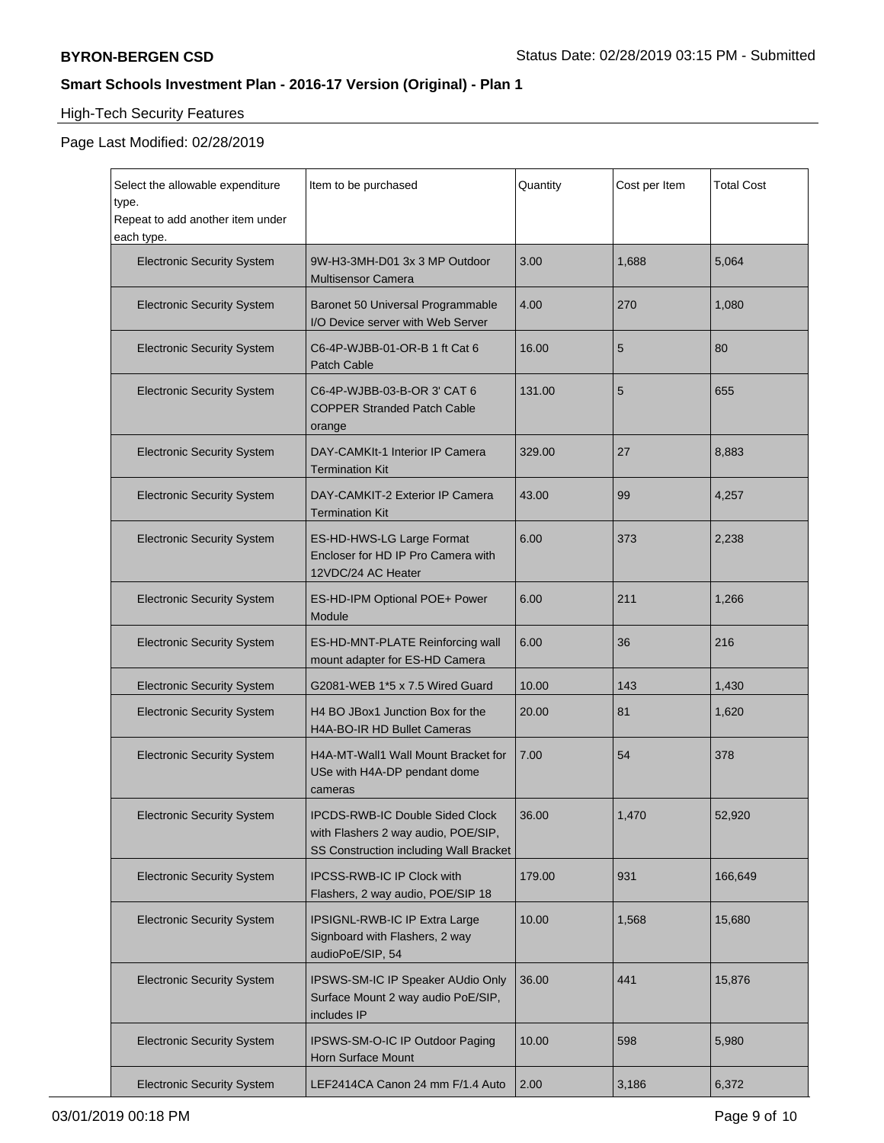# High-Tech Security Features

### Page Last Modified: 02/28/2019

| Select the allowable expenditure<br>type.<br>Repeat to add another item under | Item to be purchased                                                                                                    | Quantity | Cost per Item | <b>Total Cost</b> |
|-------------------------------------------------------------------------------|-------------------------------------------------------------------------------------------------------------------------|----------|---------------|-------------------|
| each type.                                                                    |                                                                                                                         |          |               |                   |
| <b>Electronic Security System</b>                                             | 9W-H3-3MH-D01 3x 3 MP Outdoor<br><b>Multisensor Camera</b>                                                              | 3.00     | 1,688         | 5,064             |
| <b>Electronic Security System</b>                                             | Baronet 50 Universal Programmable<br>I/O Device server with Web Server                                                  | 4.00     | 270           | 1,080             |
| <b>Electronic Security System</b>                                             | C6-4P-WJBB-01-OR-B 1 ft Cat 6<br><b>Patch Cable</b>                                                                     | 16.00    | 5             | 80                |
| <b>Electronic Security System</b>                                             | C6-4P-WJBB-03-B-OR 3' CAT 6<br><b>COPPER Stranded Patch Cable</b><br>orange                                             | 131.00   | 5             | 655               |
| <b>Electronic Security System</b>                                             | DAY-CAMKIt-1 Interior IP Camera<br><b>Termination Kit</b>                                                               | 329.00   | 27            | 8,883             |
| <b>Electronic Security System</b>                                             | DAY-CAMKIT-2 Exterior IP Camera<br><b>Termination Kit</b>                                                               | 43.00    | 99            | 4,257             |
| <b>Electronic Security System</b>                                             | ES-HD-HWS-LG Large Format<br>Encloser for HD IP Pro Camera with<br>12VDC/24 AC Heater                                   | 6.00     | 373           | 2,238             |
| <b>Electronic Security System</b>                                             | ES-HD-IPM Optional POE+ Power<br>Module                                                                                 | 6.00     | 211           | 1,266             |
| <b>Electronic Security System</b>                                             | ES-HD-MNT-PLATE Reinforcing wall<br>mount adapter for ES-HD Camera                                                      | 6.00     | 36            | 216               |
| <b>Electronic Security System</b>                                             | G2081-WEB 1*5 x 7.5 Wired Guard                                                                                         | 10.00    | 143           | 1,430             |
| <b>Electronic Security System</b>                                             | H4 BO JBox1 Junction Box for the<br>H4A-BO-IR HD Bullet Cameras                                                         | 20.00    | 81            | 1,620             |
| <b>Electronic Security System</b>                                             | H4A-MT-Wall1 Wall Mount Bracket for<br>USe with H4A-DP pendant dome<br>cameras                                          | 7.00     | 54            | 378               |
| <b>Electronic Security System</b>                                             | <b>IPCDS-RWB-IC Double Sided Clock</b><br>with Flashers 2 way audio, POE/SIP,<br>SS Construction including Wall Bracket | 36.00    | 1,470         | 52,920            |
| <b>Electronic Security System</b>                                             | IPCSS-RWB-IC IP Clock with<br>Flashers, 2 way audio, POE/SIP 18                                                         | 179.00   | 931           | 166,649           |
| <b>Electronic Security System</b>                                             | IPSIGNL-RWB-IC IP Extra Large<br>Signboard with Flashers, 2 way<br>audioPoE/SIP, 54                                     | 10.00    | 1,568         | 15,680            |
| <b>Electronic Security System</b>                                             | IPSWS-SM-IC IP Speaker AUdio Only<br>Surface Mount 2 way audio PoE/SIP,<br>includes IP                                  | 36.00    | 441           | 15,876            |
| <b>Electronic Security System</b>                                             | IPSWS-SM-O-IC IP Outdoor Paging<br>Horn Surface Mount                                                                   | 10.00    | 598           | 5,980             |
| <b>Electronic Security System</b>                                             | LEF2414CA Canon 24 mm F/1.4 Auto                                                                                        | 2.00     | 3,186         | 6,372             |